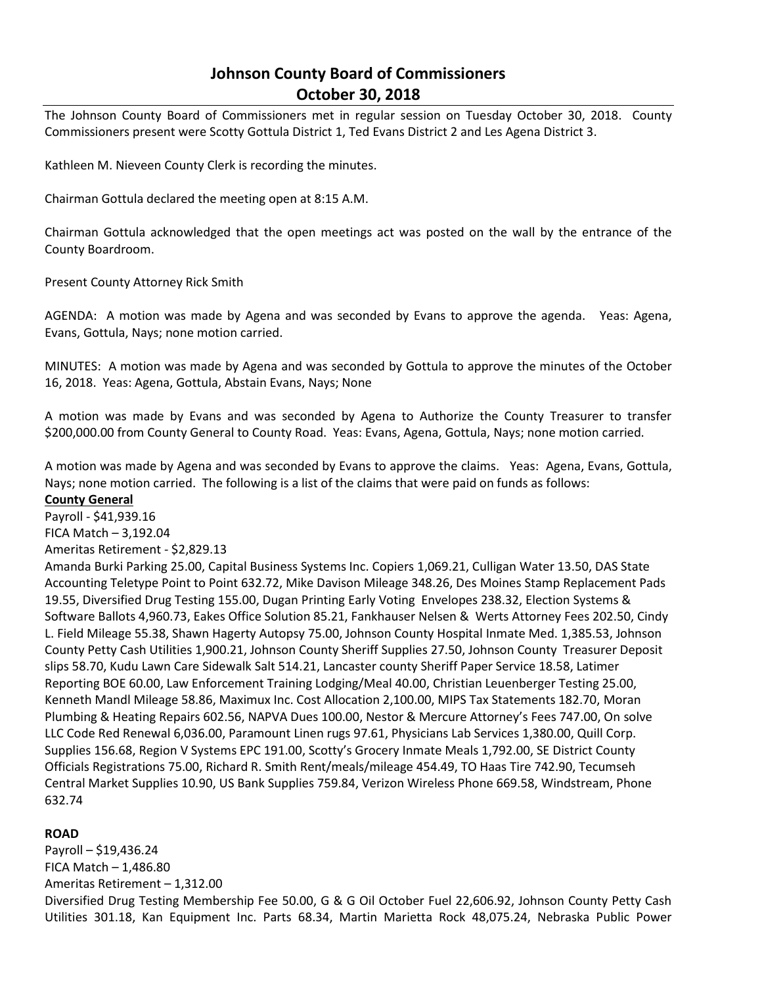# **Johnson County Board of Commissioners October 30, 2018**

The Johnson County Board of Commissioners met in regular session on Tuesday October 30, 2018. County Commissioners present were Scotty Gottula District 1, Ted Evans District 2 and Les Agena District 3.

Kathleen M. Nieveen County Clerk is recording the minutes.

Chairman Gottula declared the meeting open at 8:15 A.M.

Chairman Gottula acknowledged that the open meetings act was posted on the wall by the entrance of the County Boardroom.

Present County Attorney Rick Smith

AGENDA: A motion was made by Agena and was seconded by Evans to approve the agenda. Yeas: Agena, Evans, Gottula, Nays; none motion carried.

MINUTES: A motion was made by Agena and was seconded by Gottula to approve the minutes of the October 16, 2018. Yeas: Agena, Gottula, Abstain Evans, Nays; None

A motion was made by Evans and was seconded by Agena to Authorize the County Treasurer to transfer \$200,000.00 from County General to County Road. Yeas: Evans, Agena, Gottula, Nays; none motion carried.

A motion was made by Agena and was seconded by Evans to approve the claims. Yeas: Agena, Evans, Gottula, Nays; none motion carried. The following is a list of the claims that were paid on funds as follows:

## **County General**

Payroll - \$41,939.16 FICA Match – 3,192.04

Ameritas Retirement - \$2,829.13

Amanda Burki Parking 25.00, Capital Business Systems Inc. Copiers 1,069.21, Culligan Water 13.50, DAS State Accounting Teletype Point to Point 632.72, Mike Davison Mileage 348.26, Des Moines Stamp Replacement Pads 19.55, Diversified Drug Testing 155.00, Dugan Printing Early Voting Envelopes 238.32, Election Systems & Software Ballots 4,960.73, Eakes Office Solution 85.21, Fankhauser Nelsen & Werts Attorney Fees 202.50, Cindy L. Field Mileage 55.38, Shawn Hagerty Autopsy 75.00, Johnson County Hospital Inmate Med. 1,385.53, Johnson County Petty Cash Utilities 1,900.21, Johnson County Sheriff Supplies 27.50, Johnson County Treasurer Deposit slips 58.70, Kudu Lawn Care Sidewalk Salt 514.21, Lancaster county Sheriff Paper Service 18.58, Latimer Reporting BOE 60.00, Law Enforcement Training Lodging/Meal 40.00, Christian Leuenberger Testing 25.00, Kenneth Mandl Mileage 58.86, Maximux Inc. Cost Allocation 2,100.00, MIPS Tax Statements 182.70, Moran Plumbing & Heating Repairs 602.56, NAPVA Dues 100.00, Nestor & Mercure Attorney's Fees 747.00, On solve LLC Code Red Renewal 6,036.00, Paramount Linen rugs 97.61, Physicians Lab Services 1,380.00, Quill Corp. Supplies 156.68, Region V Systems EPC 191.00, Scotty's Grocery Inmate Meals 1,792.00, SE District County Officials Registrations 75.00, Richard R. Smith Rent/meals/mileage 454.49, TO Haas Tire 742.90, Tecumseh Central Market Supplies 10.90, US Bank Supplies 759.84, Verizon Wireless Phone 669.58, Windstream, Phone 632.74

## **ROAD**

Payroll – \$19,436.24 FICA Match  $-1,486.80$ Ameritas Retirement – 1,312.00 Diversified Drug Testing Membership Fee 50.00, G & G Oil October Fuel 22,606.92, Johnson County Petty Cash Utilities 301.18, Kan Equipment Inc. Parts 68.34, Martin Marietta Rock 48,075.24, Nebraska Public Power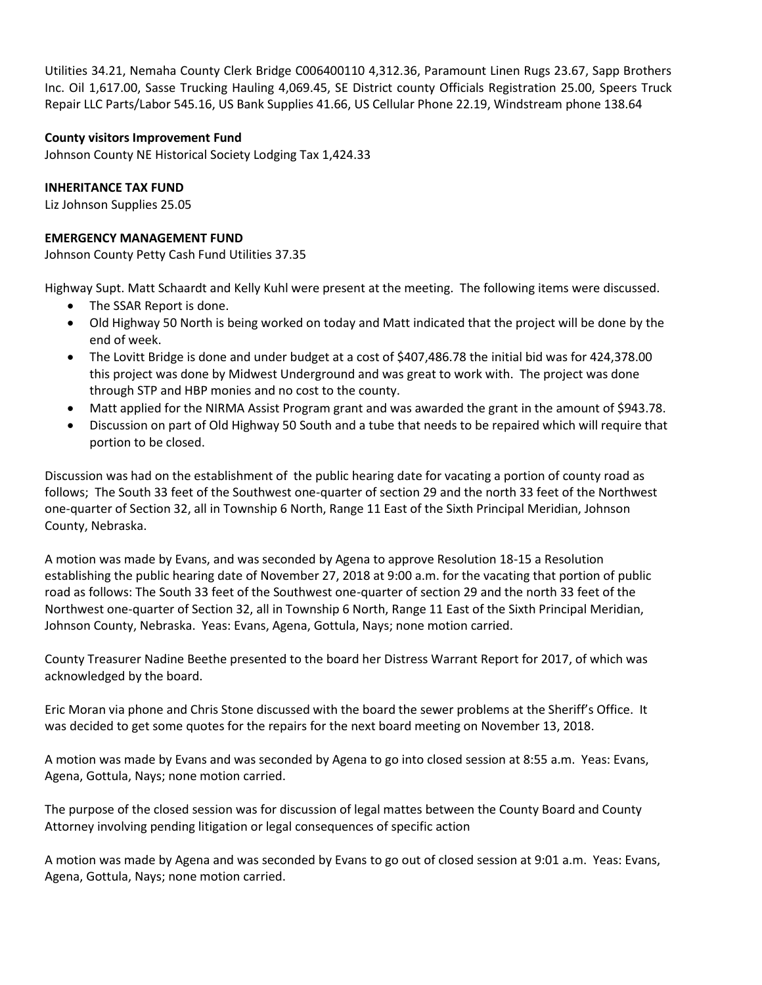Utilities 34.21, Nemaha County Clerk Bridge C006400110 4,312.36, Paramount Linen Rugs 23.67, Sapp Brothers Inc. Oil 1,617.00, Sasse Trucking Hauling 4,069.45, SE District county Officials Registration 25.00, Speers Truck Repair LLC Parts/Labor 545.16, US Bank Supplies 41.66, US Cellular Phone 22.19, Windstream phone 138.64

## **County visitors Improvement Fund**

Johnson County NE Historical Society Lodging Tax 1,424.33

## **INHERITANCE TAX FUND**

Liz Johnson Supplies 25.05

## **EMERGENCY MANAGEMENT FUND**

Johnson County Petty Cash Fund Utilities 37.35

Highway Supt. Matt Schaardt and Kelly Kuhl were present at the meeting. The following items were discussed.

- The SSAR Report is done.
- Old Highway 50 North is being worked on today and Matt indicated that the project will be done by the end of week.
- The Lovitt Bridge is done and under budget at a cost of \$407,486.78 the initial bid was for 424,378.00 this project was done by Midwest Underground and was great to work with. The project was done through STP and HBP monies and no cost to the county.
- Matt applied for the NIRMA Assist Program grant and was awarded the grant in the amount of \$943.78.
- Discussion on part of Old Highway 50 South and a tube that needs to be repaired which will require that portion to be closed.

Discussion was had on the establishment of the public hearing date for vacating a portion of county road as follows; The South 33 feet of the Southwest one-quarter of section 29 and the north 33 feet of the Northwest one-quarter of Section 32, all in Township 6 North, Range 11 East of the Sixth Principal Meridian, Johnson County, Nebraska.

A motion was made by Evans, and was seconded by Agena to approve Resolution 18-15 a Resolution establishing the public hearing date of November 27, 2018 at 9:00 a.m. for the vacating that portion of public road as follows: The South 33 feet of the Southwest one-quarter of section 29 and the north 33 feet of the Northwest one-quarter of Section 32, all in Township 6 North, Range 11 East of the Sixth Principal Meridian, Johnson County, Nebraska. Yeas: Evans, Agena, Gottula, Nays; none motion carried.

County Treasurer Nadine Beethe presented to the board her Distress Warrant Report for 2017, of which was acknowledged by the board.

Eric Moran via phone and Chris Stone discussed with the board the sewer problems at the Sheriff's Office. It was decided to get some quotes for the repairs for the next board meeting on November 13, 2018.

A motion was made by Evans and was seconded by Agena to go into closed session at 8:55 a.m. Yeas: Evans, Agena, Gottula, Nays; none motion carried.

The purpose of the closed session was for discussion of legal mattes between the County Board and County Attorney involving pending litigation or legal consequences of specific action

A motion was made by Agena and was seconded by Evans to go out of closed session at 9:01 a.m. Yeas: Evans, Agena, Gottula, Nays; none motion carried.